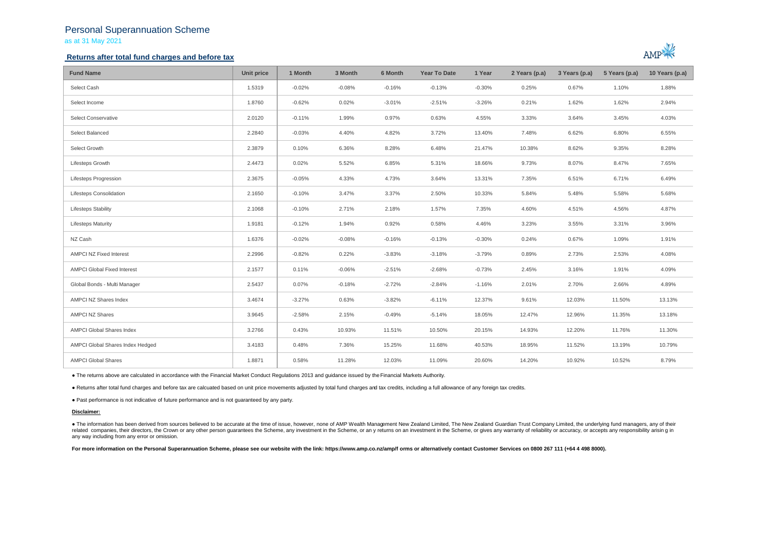## Personal Superannuation Scheme as at 31 May 2021

## **Returns after total fund charges and before tax**



| <b>Fund Name</b>                   | Unit price | 1 Month  | 3 Month  | 6 Month  | Year To Date | 1 Year   | 2 Years (p.a) | 3 Years (p.a) | 5 Years (p.a) | 10 Years (p.a) |
|------------------------------------|------------|----------|----------|----------|--------------|----------|---------------|---------------|---------------|----------------|
| Select Cash                        | 1.5319     | $-0.02%$ | $-0.08%$ | $-0.16%$ | $-0.13%$     | $-0.30%$ | 0.25%         | 0.67%         | 1.10%         | 1.88%          |
| Select Income                      | 1.8760     | $-0.62%$ | 0.02%    | $-3.01%$ | $-2.51%$     | $-3.26%$ | 0.21%         | 1.62%         | 1.62%         | 2.94%          |
| Select Conservative                | 2.0120     | $-0.11%$ | 1.99%    | 0.97%    | 0.63%        | 4.55%    | 3.33%         | 3.64%         | 3.45%         | 4.03%          |
| Select Balanced                    | 2.2840     | $-0.03%$ | 4.40%    | 4.82%    | 3.72%        | 13.40%   | 7.48%         | 6.62%         | 6.80%         | 6.55%          |
| Select Growth                      | 2.3879     | 0.10%    | 6.36%    | 8.28%    | 6.48%        | 21.47%   | 10.38%        | 8.62%         | 9.35%         | 8.28%          |
| Lifesteps Growth                   | 2.4473     | 0.02%    | 5.52%    | 6.85%    | 5.31%        | 18.66%   | 9.73%         | 8.07%         | 8.47%         | 7.65%          |
| Lifesteps Progression              | 2.3675     | $-0.05%$ | 4.33%    | 4.73%    | 3.64%        | 13.31%   | 7.35%         | 6.51%         | 6.71%         | 6.49%          |
| <b>Lifesteps Consolidation</b>     | 2.1650     | $-0.10%$ | 3.47%    | 3.37%    | 2.50%        | 10.33%   | 5.84%         | 5.48%         | 5.58%         | 5.68%          |
| <b>Lifesteps Stability</b>         | 2.1068     | $-0.10%$ | 2.71%    | 2.18%    | 1.57%        | 7.35%    | 4.60%         | 4.51%         | 4.56%         | 4.87%          |
| <b>Lifesteps Maturity</b>          | 1.9181     | $-0.12%$ | 1.94%    | 0.92%    | 0.58%        | 4.46%    | 3.23%         | 3.55%         | 3.31%         | 3.96%          |
| NZ Cash                            | 1.6376     | $-0.02%$ | $-0.08%$ | $-0.16%$ | $-0.13%$     | $-0.30%$ | 0.24%         | 0.67%         | 1.09%         | 1.91%          |
| AMPCI NZ Fixed Interest            | 2.2996     | $-0.82%$ | 0.22%    | $-3.83%$ | $-3.18%$     | $-3.79%$ | 0.89%         | 2.73%         | 2.53%         | 4.08%          |
| <b>AMPCI Global Fixed Interest</b> | 2.1577     | 0.11%    | $-0.06%$ | $-2.51%$ | $-2.68%$     | $-0.73%$ | 2.45%         | 3.16%         | 1.91%         | 4.09%          |
| Global Bonds - Multi Manager       | 2.5437     | 0.07%    | $-0.18%$ | $-2.72%$ | $-2.84%$     | $-1.16%$ | 2.01%         | 2.70%         | 2.66%         | 4.89%          |
| AMPCI NZ Shares Index              | 3.4674     | $-3.27%$ | 0.63%    | $-3.82%$ | $-6.11%$     | 12.37%   | 9.61%         | 12.03%        | 11.50%        | 13.13%         |
| <b>AMPCI NZ Shares</b>             | 3.9645     | $-2.58%$ | 2.15%    | $-0.49%$ | $-5.14%$     | 18.05%   | 12.47%        | 12.96%        | 11.35%        | 13.18%         |
| AMPCI Global Shares Index          | 3.2766     | 0.43%    | 10.93%   | 11.51%   | 10.50%       | 20.15%   | 14.93%        | 12.20%        | 11.76%        | 11.30%         |
| AMPCI Global Shares Index Hedged   | 3.4183     | 0.48%    | 7.36%    | 15.25%   | 11.68%       | 40.53%   | 18.95%        | 11.52%        | 13.19%        | 10.79%         |
| <b>AMPCI Global Shares</b>         | 1.8871     | 0.58%    | 11.28%   | 12.03%   | 11.09%       | 20.60%   | 14.20%        | 10.92%        | 10.52%        | 8.79%          |

● The returns above are calculated in accordance with the Financial Market Conduct Regulations 2013 and guidance issued by the Financial Markets Authority.

● Returns after total fund charges and before tax are calcuated based on unit price movements adjusted by total fund charges and tax credits, including a full allowance of any foreign tax credits.

● Past performance is not indicative of future performance and is not guaranteed by any party.

### **Disclaimer:**

. The information has been derived from sources believed to be accurate at the time of issue, however, none of AMP Wealth Management New Zealand Limited, The New Zealand Guardian Trust Company Limited, the underlying fund related companies, their directors, the Crown or any other person quarantees the Scheme, any investment in the Scheme, or any returns on an investment in the Scheme, or qives any warranty of reliability or accuracy, or acc any way including from any error or omission.

For more information on the Personal Superannuation Scheme, please see our website with the link: https://www.amp.co.nz/amp/f orms or alternatively contact Customer Services on 0800 267 111 (+64 4 498 8000).